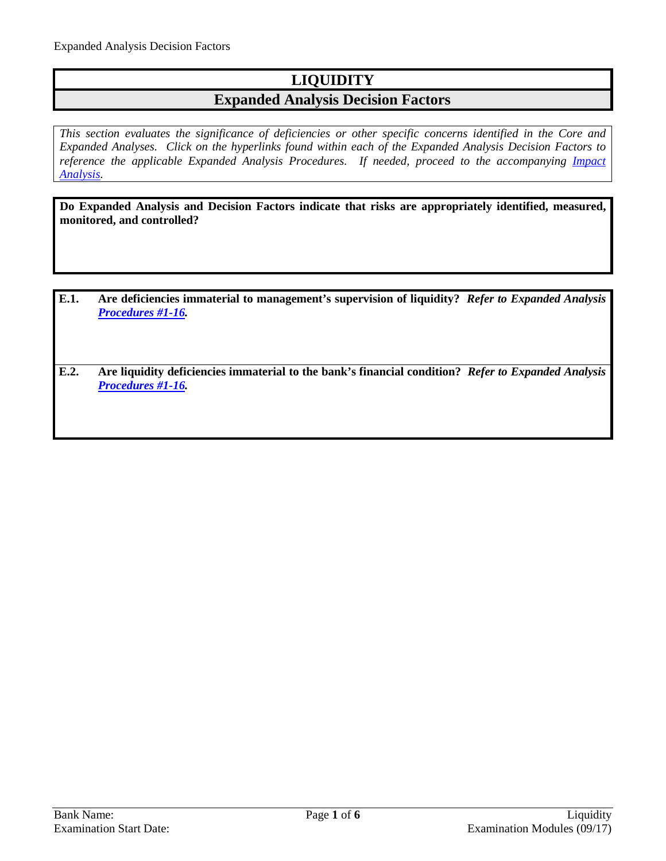## **LIQUIDITY**

## **Expanded Analysis Decision Factors**

*This section evaluates the significance of deficiencies or other specific concerns identified in the Core and Expanded Analyses. Click on the hyperlinks found within each of the Expanded Analysis Decision Factors to*  reference the applicable Expanded Analysis Procedures. If needed, proceed to the accompanying *Impact [Analysis.](#page-5-0)*

**Do Expanded Analysis and Decision Factors indicate that risks are appropriately identified, measured, monitored, and controlled?**

- **E.1. Are deficiencies immaterial to management's supervision of liquidity?** *Refer to Expanded Analysis [Procedures #1-16.](#page-1-0)*
- **E.2. Are liquidity deficiencies immaterial to the bank's financial condition?** *Refer to Expanded Analysis [Procedures #1-16.](#page-1-0)*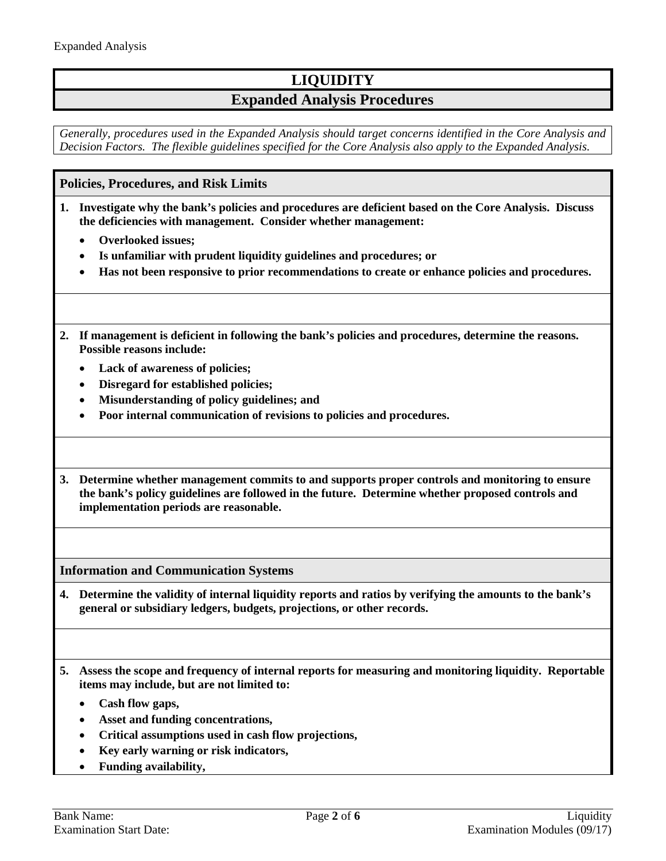# **LIQUIDITY**

## **Expanded Analysis Procedures**

*Generally, procedures used in the Expanded Analysis should target concerns identified in the Core Analysis and Decision Factors. The flexible guidelines specified for the Core Analysis also apply to the Expanded Analysis.*

### <span id="page-1-0"></span>**Policies, Procedures, and Risk Limits**

- **1. Investigate why the bank's policies and procedures are deficient based on the Core Analysis. Discuss the deficiencies with management. Consider whether management:**
	- **Overlooked issues;**
	- **Is unfamiliar with prudent liquidity guidelines and procedures; or**
	- **Has not been responsive to prior recommendations to create or enhance policies and procedures.**
- **2. If management is deficient in following the bank's policies and procedures, determine the reasons. Possible reasons include:**
	- **Lack of awareness of policies;**
	- **Disregard for established policies;**
	- **Misunderstanding of policy guidelines; and**
	- **Poor internal communication of revisions to policies and procedures.**
- **3. Determine whether management commits to and supports proper controls and monitoring to ensure the bank's policy guidelines are followed in the future. Determine whether proposed controls and implementation periods are reasonable.**

**Information and Communication Systems**

- **4. Determine the validity of internal liquidity reports and ratios by verifying the amounts to the bank's general or subsidiary ledgers, budgets, projections, or other records.**
- **5. Assess the scope and frequency of internal reports for measuring and monitoring liquidity. Reportable items may include, but are not limited to:**
	- **Cash flow gaps,**
	- **Asset and funding concentrations,**
	- **Critical assumptions used in cash flow projections,**
	- **Key early warning or risk indicators,**
	- **Funding availability,**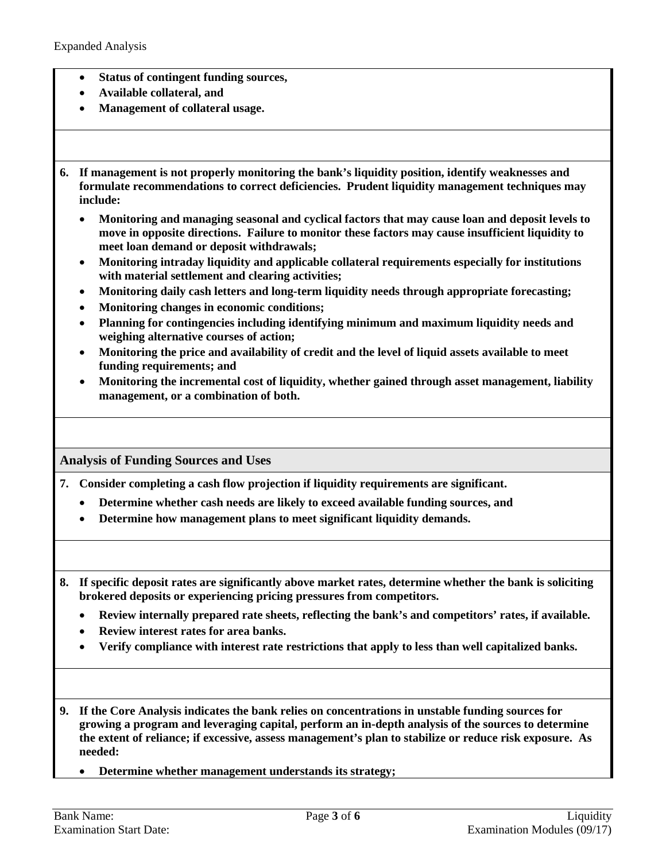- **Status of contingent funding sources,**
- **Available collateral, and**
- **Management of collateral usage.**
- **6. If management is not properly monitoring the bank's liquidity position, identify weaknesses and formulate recommendations to correct deficiencies. Prudent liquidity management techniques may include:**
	- **Monitoring and managing seasonal and cyclical factors that may cause loan and deposit levels to move in opposite directions. Failure to monitor these factors may cause insufficient liquidity to meet loan demand or deposit withdrawals;**
	- **Monitoring intraday liquidity and applicable collateral requirements especially for institutions with material settlement and clearing activities;**
	- **Monitoring daily cash letters and long-term liquidity needs through appropriate forecasting;**
	- **Monitoring changes in economic conditions;**
	- **Planning for contingencies including identifying minimum and maximum liquidity needs and weighing alternative courses of action;**
	- **Monitoring the price and availability of credit and the level of liquid assets available to meet funding requirements; and**
	- **Monitoring the incremental cost of liquidity, whether gained through asset management, liability management, or a combination of both.**

### **Analysis of Funding Sources and Uses**

**7. Consider completing a cash flow projection if liquidity requirements are significant.**

- **Determine whether cash needs are likely to exceed available funding sources, and**
- **Determine how management plans to meet significant liquidity demands.**
- **8. If specific deposit rates are significantly above market rates, determine whether the bank is soliciting brokered deposits or experiencing pricing pressures from competitors.**
	- **Review internally prepared rate sheets, reflecting the bank's and competitors' rates, if available.**
	- **Review interest rates for area banks.**
	- **Verify compliance with interest rate restrictions that apply to less than well capitalized banks.**
- **9. If the Core Analysis indicates the bank relies on concentrations in unstable funding sources for growing a program and leveraging capital, perform an in-depth analysis of the sources to determine the extent of reliance; if excessive, assess management's plan to stabilize or reduce risk exposure. As needed:**
	- **Determine whether management understands its strategy;**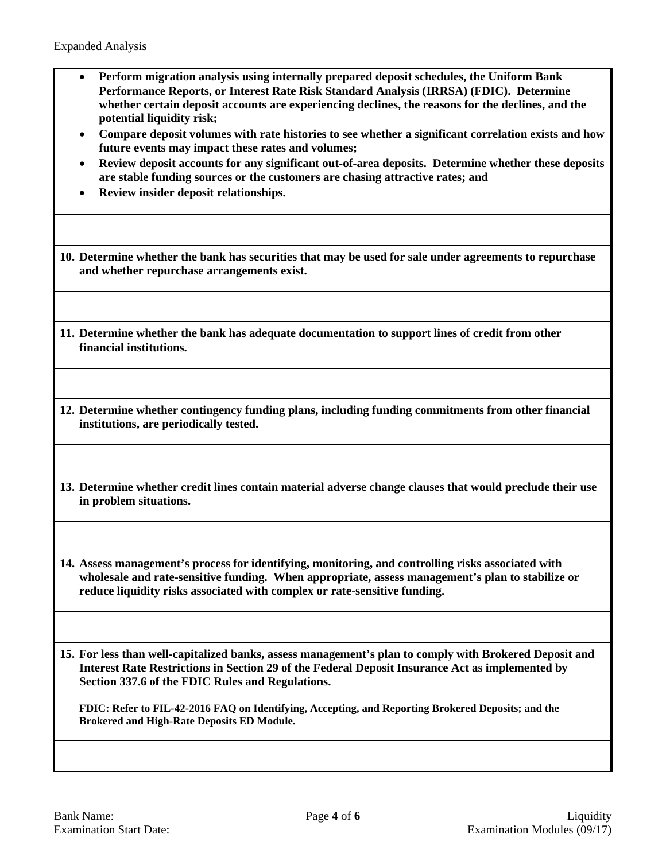- **Perform migration analysis using internally prepared deposit schedules, the Uniform Bank Performance Reports, or Interest Rate Risk Standard Analysis (IRRSA) (FDIC). Determine whether certain deposit accounts are experiencing declines, the reasons for the declines, and the potential liquidity risk;**
- **Compare deposit volumes with rate histories to see whether a significant correlation exists and how future events may impact these rates and volumes;**
- **Review deposit accounts for any significant out-of-area deposits. Determine whether these deposits are stable funding sources or the customers are chasing attractive rates; and**
- **Review insider deposit relationships.**

**10. Determine whether the bank has securities that may be used for sale under agreements to repurchase and whether repurchase arrangements exist.**

- **11. Determine whether the bank has adequate documentation to support lines of credit from other financial institutions.**
- **12. Determine whether contingency funding plans, including funding commitments from other financial institutions, are periodically tested.**
- **13. Determine whether credit lines contain material adverse change clauses that would preclude their use in problem situations.**

**14. Assess management's process for identifying, monitoring, and controlling risks associated with wholesale and rate-sensitive funding. When appropriate, assess management's plan to stabilize or reduce liquidity risks associated with complex or rate-sensitive funding.** 

**15. For less than well-capitalized banks, assess management's plan to comply with Brokered Deposit and Interest Rate Restrictions in Section 29 of the Federal Deposit Insurance Act as implemented by Section 337.6 of the FDIC Rules and Regulations.**

**FDIC: Refer to FIL-42-2016 FAQ on Identifying, Accepting, and Reporting Brokered Deposits; and the Brokered and High-Rate Deposits ED Module.**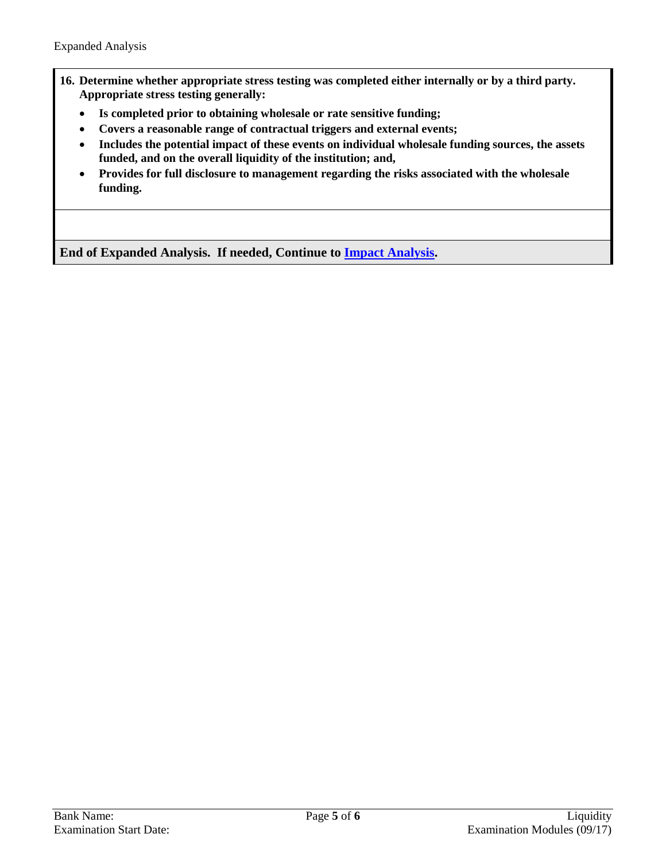- **16. Determine whether appropriate stress testing was completed either internally or by a third party. Appropriate stress testing generally:**
	- **Is completed prior to obtaining wholesale or rate sensitive funding;**
	- **Covers a reasonable range of contractual triggers and external events;**
	- **Includes the potential impact of these events on individual wholesale funding sources, the assets funded, and on the overall liquidity of the institution; and,**
	- **Provides for full disclosure to management regarding the risks associated with the wholesale funding.**

**End of Expanded Analysis. If needed, Continue to [Impact Analysis.](#page-5-0)**